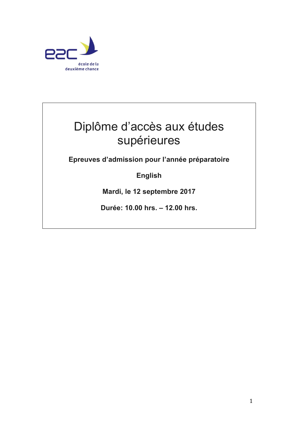

## Diplôme d'accès aux études supérieures

**Epreuves d'admission pour l'année préparatoire**

**English**

**Mardi, le 12 septembre 2017**

**Durée: 10.00 hrs. – 12.00 hrs.**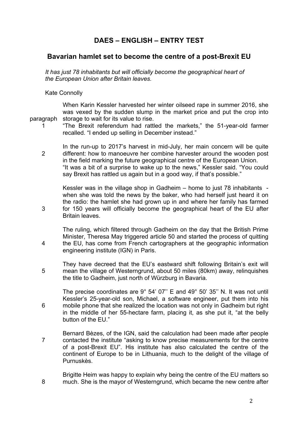## **DAES – ENGLISH – ENTRY TEST**

## **Bavarian hamlet set to become the centre of a post-Brexit EU**

*It has just 78 inhabitants but will officially become the geographical heart of the European Union after Britain leaves.* 

Kate Connolly

paragraph When Karin Kessler harvested her winter oilseed rape in summer 2016, she was vexed by the sudden slump in the market price and put the crop into storage to wait for its value to rise.

1

3

4

6

"The Brexit referendum had rattled the markets," the 51-year-old farmer recalled. "I ended up selling in December instead."

2 In the run-up to 2017's harvest in mid-July, her main concern will be quite different: how to manoeuvre her combine harvester around the wooden post in the field marking the future geographical centre of the European Union. "It was a bit of a surprise to wake up to the news," Kessler said. "You could say Brexit has rattled us again but in a good way, if that's possible."

Kessler was in the village shop in Gadheim – home to just 78 inhabitants when she was told the news by the baker, who had herself just heard it on the radio: the hamlet she had grown up in and where her family has farmed for 150 years will officially become the geographical heart of the EU after Britain leaves.

The ruling, which filtered through Gadheim on the day that the British Prime Minister, Theresa May triggered article 50 and started the process of quitting the EU, has come from French cartographers at the geographic information engineering institute (IGN) in Paris.

5 They have decreed that the EU's eastward shift following Britain's exit will mean the village of Westerngrund, about 50 miles (80km) away, relinquishes the title to Gadheim, just north of Würzburg in Bavaria.

The precise coordinates are 9° 54' 07'' E and 49° 50' 35'' N. It was not until Kessler's 25-year-old son, Michael, a software engineer, put them into his mobile phone that she realized the location was not only in Gadheim but right in the middle of her 55-hectare farm, placing it, as she put it, "at the belly button of the EU."

- 7 Bernard Bèzes, of the IGN, said the calculation had been made after people contacted the institute "asking to know precise measurements for the centre of a post-Brexit EU". His institute has also calculated the centre of the continent of Europe to be in Lithuania, much to the delight of the village of Purnuskès.
- 8 Brigitte Heim was happy to explain why being the centre of the EU matters so much. She is the mayor of Westerngrund, which became the new centre after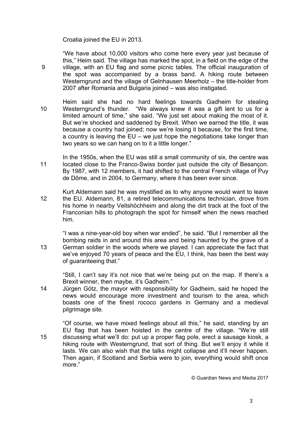Croatia joined the EU in 2013.

9

"We have about 10,000 visitors who come here every year just because of this," Heim said. The village has marked the spot, in a field on the edge of the village, with an EU flag and some picnic tables. The official inauguration of the spot was accompanied by a brass band. A hiking route between Westerngrund and the village of Gelnhausen Meerholz – the title-holder from 2007 after Romania and Bulgaria joined – was also instigated.

- 10 Heim said she had no hard feelings towards Gadheim for stealing Westerngrund's thunder. "We always knew it was a gift lent to us for a limited amount of time," she said. "We just set about making the most of it. But we're shocked and saddened by Brexit. When we earned the title, it was because a country had joined; now we're losing it because, for the first time, a country is leaving the EU – we just hope the negotiations take longer than two years so we can hang on to it a little longer."
- 11 In the 1950s, when the EU was still a small community of six, the centre was located close to the Franco-Swiss border just outside the city of Besançon. By 1987, with 12 members, it had shifted to the central French village of Puy de Dôme, and in 2004, to Germany, where it has been ever since.
- 12 Kurt Aldemann said he was mystified as to why anyone would want to leave the EU. Aldemann, 81, a retired telecommunications technician, drove from his home in nearby Veitshöchheim and along the dirt track at the foot of the Franconian hills to photograph the spot for himself when the news reached him.
- 13 "I was a nine-year-old boy when war ended", he said. "But I remember all the bombing raids in and around this area and being haunted by the grave of a German soldier in the woods where we played. I can appreciate the fact that we've enjoyed 70 years of peace and the EU, I think, has been the best way of guaranteeing that."

"Still, I can't say it's not nice that we're being put on the map. If there's a Brexit winner, then maybe, it's Gadheim."

14 Jürgen Götz, the mayor with responsibility for Gadheim, said he hoped the news would encourage more investment and tourism to the area, which boasts one of the finest rococo gardens in Germany and a medieval pilgrimage site.

15 "Of course, we have mixed feelings about all this," he said, standing by an EU flag that has been hoisted in the centre of the village. "We're still discussing what we'll do: put up a proper flag pole, erect a sausage kiosk, a hiking route with Westerngrund, that sort of thing. But we'll enjoy it while it lasts. We can also wish that the talks might collapse and it'll never happen. Then again, if Scotland and Serbia were to join, everything would shift once more."

© Guardian News and Media 2017

3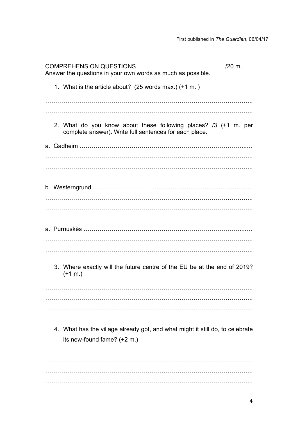| <b>COMPREHENSION QUESTIONS</b><br>Answer the questions in your own words as much as possible.                             | /20 m. |
|---------------------------------------------------------------------------------------------------------------------------|--------|
| 1. What is the article about? (25 words max.) (+1 m.)                                                                     |        |
|                                                                                                                           |        |
| 2. What do you know about these following places? /3 (+1 m. per<br>complete answer). Write full sentences for each place. |        |
|                                                                                                                           |        |
|                                                                                                                           |        |
|                                                                                                                           |        |
|                                                                                                                           |        |
|                                                                                                                           |        |
|                                                                                                                           |        |
| 3. Where exactly will the future centre of the EU be at the end of 2019?<br>$(+1 \, \text{m.})$                           |        |
|                                                                                                                           |        |
|                                                                                                                           |        |
| 4. What has the village already got, and what might it still do, to celebrate<br>its new-found fame? (+2 m.)              |        |
|                                                                                                                           |        |

………………………………………………………………………………………….. …………………………………………………………………………………………..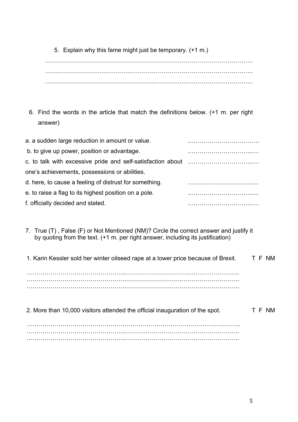5. Explain why this fame might just be temporary. (+1 m.)

………………………………………………………………………………………….. ………………………………………………………………………………………….. …………………………………………………………………………………………..

6. Find the words in the article that match the definitions below. (+1 m. per right answer)

| a. a sudden large reduction in amount or value.        |  |
|--------------------------------------------------------|--|
| b. to give up power, position or advantage.            |  |
|                                                        |  |
| one's achievements, possessions or abilities.          |  |
| d. here, to cause a feeling of distrust for something. |  |
| e. to raise a flag to its highest position on a pole.  |  |
| f. officially decided and stated.                      |  |
|                                                        |  |

7. True (T) , False (F) or Not Mentioned (NM)? Circle the correct answer and justify it by quoting from the text. (+1 m. per right answer, including its justification)

| 1. Karin Kessler sold her winter oilseed rape at a lower price because of Brexit. | T F NM |
|-----------------------------------------------------------------------------------|--------|
|                                                                                   |        |

…………………………………………..………………………….…………………….. …………………………………………..……………………….……………………….. …………………………………………..………………….……………………………..

| 2. More than 10,000 visitors attended the official inauguration of the spot. | T F NM |
|------------------------------------------------------------------------------|--------|
|                                                                              |        |

…………………………………………………………………………………………….. …………………………………………..……….……………………………………….. …………………………………………..…….…………………………………………..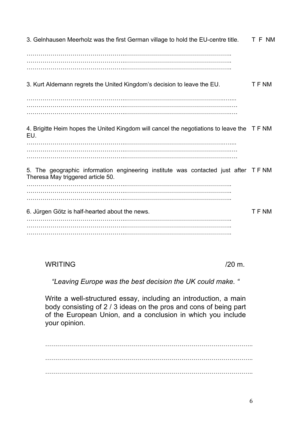3. Gelnhausen Meerholz was the first German village to hold the EU-centre title. …………………………………………..…………………………………………….. …………………………………………..…………………………………………….. …………………………………………..…………………………………………….. T F NM 3. Kurt Aldemann regrets the United Kingdom's decision to leave the EU. …………………………………………..………………………………………….….... …………………………………………..…………………………………………….…. …………………………………………..…………………………………………….…. T F NM 4. Brigitte Heim hopes the United Kingdom will cancel the negotiations to leave the T F NM EU. …………………………………………..………………………………………….….... …………………………………………..…………………………………………….…. …………………………………………..…………………………………………….…. 5. The geographic information engineering institute was contacted just after T F NM Theresa May triggered article 50. …………………………………………..…………………………………………….. …………………………………………..…………………………………………….. …………………………………………..…………………………………………….. 6. Jürgen Götz is half-hearted about the news. …………………………………………..…………………………………………….. …………………………………………..…………………………………………….. …………………………………………..…………………………………………….. T F NM

 $WRITING$  /20 m.

*"Leaving Europe was the best decision the UK could make. "*

Write a well-structured essay, including an introduction, a main body consisting of 2 / 3 ideas on the pros and cons of being part of the European Union, and a conclusion in which you include your opinion.

………………………………………………………………………………………….. ………………………………………………………………………………………….. …………………………………………………………………………………………..